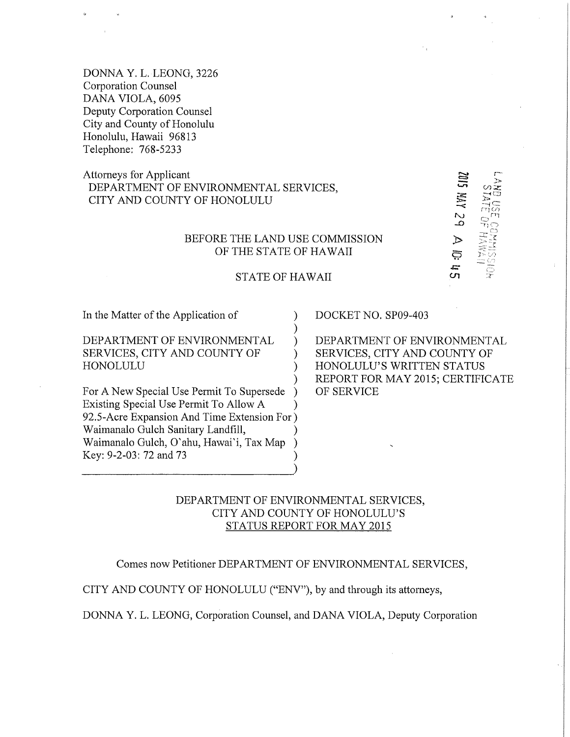DONNA Y. L. LEONG, 3226 Corporation Counsel DANA VIOLA, 6095 Deputy Corporation Counsel City and County of Honolulu Honolulu, Hawaii 96813 Telephone: 768-5233

# Attorneys for Applicant DEPARTMENT OF ENVIRONMENTAL SERVICES, CITY AND COUNTY OF HONOLULU

# BEFORE THE LAND USE COMMISSION OF THE STATE OF HAWAII

#### STATE OF HAWAII

) ) )

> ) ) )

In the Matter of the Application of

## DEPARTMENT OF ENVIRONMENTAL SERVICES, CITY AND COUNTY OF HONOLULU

For A New Special Use Permit To Supersede Existing Special Use Permit To Allow A 92.5-Acre Expansion And Time Extension For ) Waimanalo Gulch Sanitary Landfill, Waimanalo Gulch, O' ahu, Hawai'i, Tax Map Key: 9-2-03:72 and 73 )  $\mathcal{L}$ ) ) )  $\frac{1}{2}$ 

### DOCKET NO. SP09-403

DEPARTMENT OF ENVIRONMENTAL SERVICES, CITY AND COUNTY OF HONOLULU'S WRITTEN STATUS REPORT FOR MAY 2015; CERTIFICATE OF SERVICE

 $\sqcap$ िं $\varnothing$  $\sim$   $\sim$   $\sim$ 

> $\mathcal{Y} \geq C$  $\overline{C}$

<u>ح</u>

 $\overline{u}$ 

Ë

# DEPARTMENT OF ENVIRONMENTAL SERVICES, CITY AND COUNTY OF HONOLULU'S STATUS REPORT FOR MAY 2015

Comes now Petitioner DEPARTMENT OF ENVIRONMENTAL SERVICES,

CITY AND COUNTY OF HONOLULU ("ENV"), by and through its attorneys,

DONNA Y. L. LEONG, Corporation Counsel, and DANA VIOLA, Deputy Corporation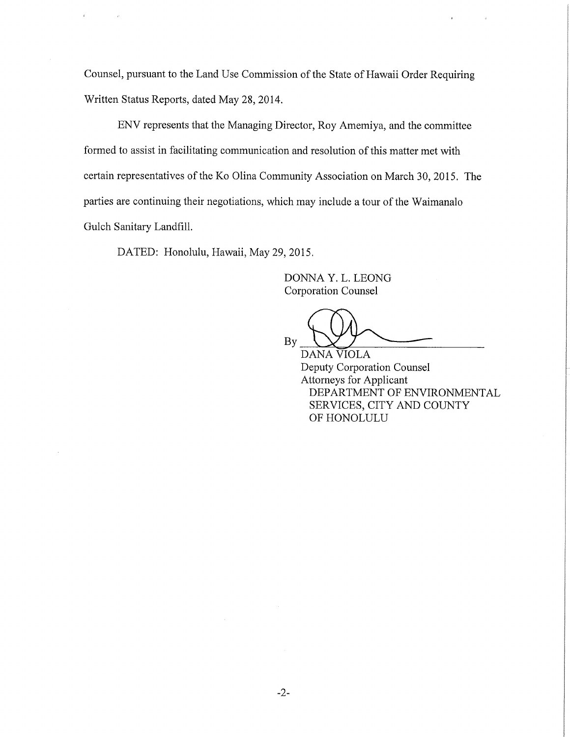Counsel, pursuant to the Land Use Commission of the State of Hawaii Order Requiring Written Status Reports, dated May 28, 2014.

ENV represents that the Managing Director, Roy Amemiya, and the committee formed to assist in facilitating communication and resolution of this matter met with certain representatives of the Ko Olina Community Association on March 30, 2015. The parties are continuing their negotiations, which may include a tour of the Waimanalo Gulch Sanitary Landfill.

DATED: Honolulu, Hawaii, May 29, 2015.

DONNA Y. L. LEONG Corporation Counsel

Corporation Counsel<br>By DANA VIOLA

DANA VIOLA Deputy Corporation Counsel Attorneys for Applicant DEPARTMENT OF ENVIRONMENTAL SERVICES, CITY AND COUNTY OF HONOLULU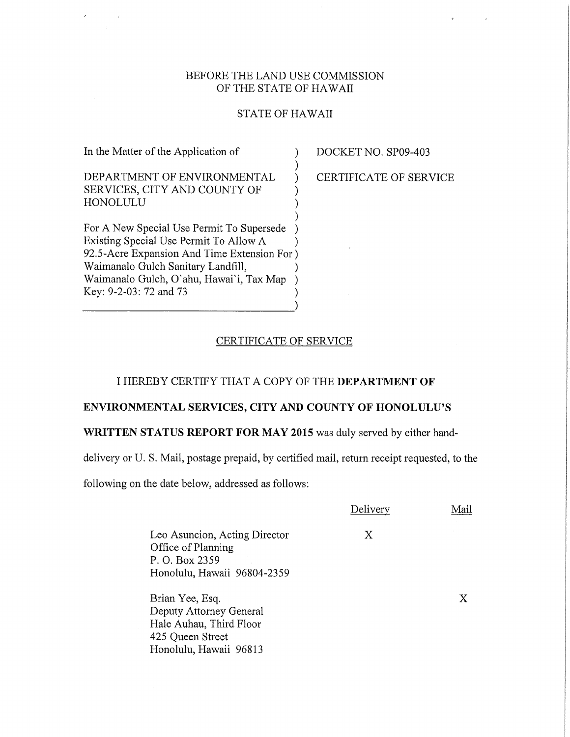## BEFORE THE LAND USE COMMISSION OF THE STATE OF HAWAII

#### STATE OF HAWAII

) ) )

) ) )

DEPARTMENT OF ENVIRONMENTAL SERVICES, CITY AND COUNTY OF HONOLULU

In the Matter of the Application of

For A New Special Use Permit To Supersede Existing Special Use Permit To Allow A ) ) 92.5-Acre Expansion And Time Extension For ) Waimanalo Gulch Sanitary Landfill, ) Waimanalo Gulch, O'ahu, Hawai'i, Tax Map ) Key: 9-2-03: 72 and 73 ) DOCKET NO. SP09-403

CERTIFICATE OF SERVICE

#### CERTIFICATE OF SERVICE

## I HEREBY CERTIFY THAT A COPY OF THE DEPARTMENT OF

#### ENVIRONMENTAL SERVICES, CITY AND COUNTY OF HONOLULU'S

### WRITTEN STATUS REPORT FOR MAY 2015 was duly served by either hand-

delivery or U. S. Mail, postage prepaid, by certified mail, return receipt requested, to the

following on the date below, addressed as follows:

|                                                                                                                     | Delivery | Mail |
|---------------------------------------------------------------------------------------------------------------------|----------|------|
| Leo Asuncion, Acting Director<br>Office of Planning<br>P. O. Box 2359<br>Honolulu, Hawaii 96804-2359                | X        |      |
| Brian Yee, Esq.<br>Deputy Attorney General<br>Hale Auhau, Third Floor<br>425 Queen Street<br>Honolulu, Hawaii 96813 |          | X    |